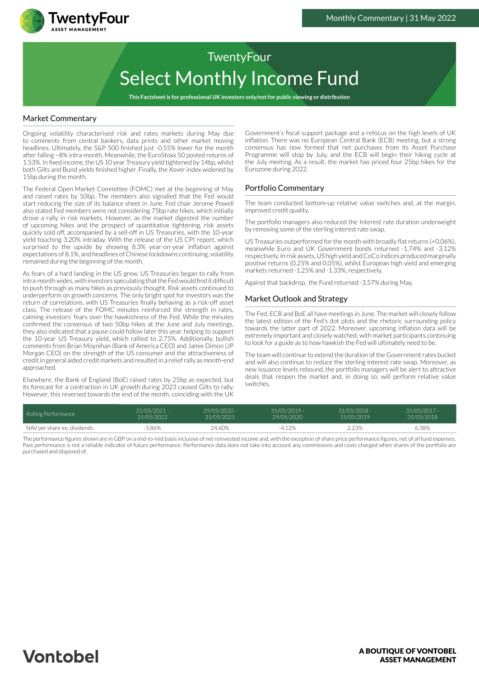

**This Factsheet is for professional UK investors only/not for public viewing or distribution**

## Market Commentary

TwentyFour

Ongoing volatility characterised risk and rates markets during May due to comments from central bankers, data prints and other market moving headlines. Ultimately, the S&P 500 finished just -0.55% lower for the month after falling ~8% intra-month. Meanwhile, the EuroStoxx 50 posted returns of 1.53%. In fixed income, the US 10 year Treasury yield tightened by 14bp, whilst both Gilts and Bund yields finished higher. Finally, the Xover index widened by 15bp during the month.

The Federal Open Market Committee (FOMC) met at the beginning of May and raised rates by 50bp. The members also signalled that the Fed would start reducing the size of its balance sheet in June. Fed chair Jerome Powell also stated Fed members were not considering 75bp rate hikes, which initially drove a rally in risk markets. However, as the market digested the number of upcoming hikes and the prospect of quantitative tightening, risk assets quickly sold off, accompanied by a sell-off in US Treasuries, with the 10-year yield touching 3.20% intraday. With the release of the US CPI report, which surprised to the upside by showing 8.3% year-on-year inflation against expectations of 8.1%, and headlines of Chinese lockdowns continuing, volatility remained during the beginning of the month.

As fears of a hard landing in the US grew, US Treasuries began to rally from intra-month wides, with investors speculating that the Fed would find it difficult to push through as many hikes as previously thought. Risk assets continued to underperform on growth concerns. The only bright spot for investors was the return of correlations, with US Treasuries finally behaving as a risk-off asset class. The release of the FOMC minutes reinforced the strength in rates, calming investors' fears over the hawkishness of the Fed. While the minutes confirmed the consensus of two 50bp hikes at the June and July meetings, they also indicated that a pause could follow later this year, helping to support the 10-year US Treasury yield, which rallied to 2.75%. Additionally, bullish comments from Brian Moynihan (Bank of America CEO) and Jamie Dimon (JP Morgan CEO) on the strength of the US consumer and the attractiveness of credit in general aided credit markets and resulted in a relief rally as month-end approached.

Elsewhere, the Bank of England (BoE) raised rates by 25bp as expected, but its forecast for a contraction in UK growth during 2023 caused Gilts to rally. However, this reversed towards the end of the month, coinciding with the UK

Government's fiscal support package and a refocus on the high levels of UK inflation. There was no European Central Bank (ECB) meeting, but a strong consensus has now formed that net purchases from its Asset Purchase Programme will stop by July, and the ECB will begin their hiking cycle at the July meeting. As a result, the market has priced four 25bp hikes for the Eurozone during 2022.

### Portfolio Commentary

The team conducted bottom-up relative value switches and, at the margin, improved credit quality.

The portfolio managers also reduced the Interest rate duration underweight by removing some of the sterling interest rate swap.

US Treasuries outperformed for the month with broadly flat returns (+0.06%), meanwhile Euro and UK Government bonds returned -1.74% and -3.12% respectively. In risk assets, US high yield and CoCo indices produced marginally positive returns (0.25% and 0.05%), whilst European high yield and emerging markets returned -1.25% and -1.33%, respectively.

Against that backdrop, the Fund returned -3.57% during May.

### Market Outlook and Strategy

The Fed, ECB and BoE all have meetings in June. The market will closely follow the latest edition of the Fed's dot plots and the rhetoric surrounding policy towards the latter part of 2022. Moreover, upcoming inflation data will be extremely important and closely watched, with market participants continuing to look for a guide as to how hawkish the Fed will ultimately need to be.

The team will continue to extend the duration of the Government rates bucket and will also continue to reduce the sterling interest rate swap. Moreover, as new issuance levels rebound, the portfolio managers will be alert to attractive deals that reopen the market and, in doing so, will perform relative value switches.

| Rolling Performance          | $31/05/2021 -$ | 29/05/2020 - | $31/05/2019 -$ | $31/05/2018 -$ | $31/05/2017 -$ |
|------------------------------|----------------|--------------|----------------|----------------|----------------|
|                              | 31/05/2022     | 31/05/2021   | 29/05/2020     | 31/05/2019     | 31/05/2018     |
| NAV per share inc. dividends | 5.86%          | 24.60%       | $-4.12%$       | 2.23%          | 6.38%          |

The performance figures shown are in GBP on a mid-to-mid basis inclusive of net reinvested income and, with the exception of share price performance figures, net of all fund expenses. Past performance is not a reliable indicator of future performance. Performance data does not take into account any commissions and costs charged when shares of the portfolio are purchased and disposed of.